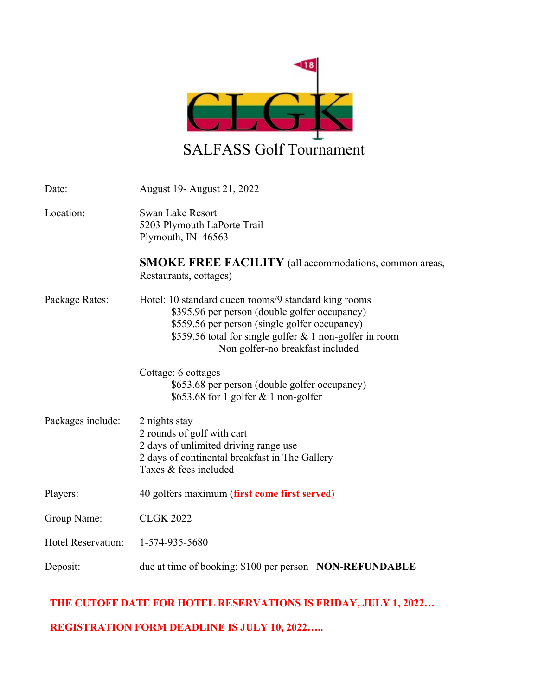

| Date:                     | August 19 - August 21, 2022                                                                                                                                                                                                                           |
|---------------------------|-------------------------------------------------------------------------------------------------------------------------------------------------------------------------------------------------------------------------------------------------------|
| Location:                 | Swan Lake Resort<br>5203 Plymouth LaPorte Trail<br>Plymouth, IN 46563                                                                                                                                                                                 |
|                           | SMOKE FREE FACILITY (all accommodations, common areas,<br>Restaurants, cottages)                                                                                                                                                                      |
| Package Rates:            | Hotel: 10 standard queen rooms/9 standard king rooms<br>\$395.96 per person (double golfer occupancy)<br>\$559.56 per person (single golfer occupancy)<br>\$559.56 total for single golfer & 1 non-golfer in room<br>Non golfer-no breakfast included |
|                           | Cottage: 6 cottages<br>\$653.68 per person (double golfer occupancy)<br>\$653.68 for 1 golfer $& 1$ non-golfer                                                                                                                                        |
| Packages include:         | 2 nights stay<br>2 rounds of golf with cart<br>2 days of unlimited driving range use<br>2 days of continental breakfast in The Gallery<br>Taxes & fees included                                                                                       |
| Players:                  | 40 golfers maximum (first come first served)                                                                                                                                                                                                          |
| Group Name:               | <b>CLGK 2022</b>                                                                                                                                                                                                                                      |
| <b>Hotel Reservation:</b> | 1-574-935-5680                                                                                                                                                                                                                                        |
| Deposit:                  | due at time of booking: \$100 per person NON-REFUNDABLE                                                                                                                                                                                               |

## **THE CUTOFF DATE FOR HOTEL RESERVATIONS IS FRIDAY, JULY 1, 2022…**

## **REGISTRATION FORM DEADLINE IS JULY 10, 2022…..**